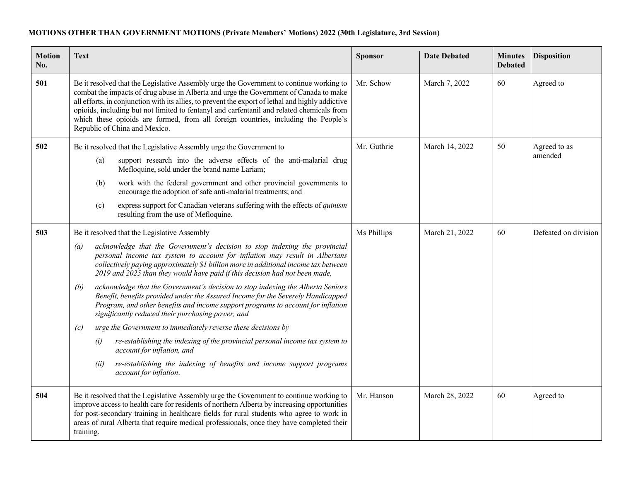## **MOTIONS OTHER THAN GOVERNMENT MOTIONS (Private Members' Motions) 2022 (30th Legislature, 3rd Session)**

| <b>Motion</b><br>No. | <b>Text</b>                                                                                                                                                                                                                                                                                                                                                                                                                                                                                               | <b>Sponsor</b> | <b>Date Debated</b> | <b>Minutes</b><br><b>Debated</b> | <b>Disposition</b>      |
|----------------------|-----------------------------------------------------------------------------------------------------------------------------------------------------------------------------------------------------------------------------------------------------------------------------------------------------------------------------------------------------------------------------------------------------------------------------------------------------------------------------------------------------------|----------------|---------------------|----------------------------------|-------------------------|
| 501                  | Be it resolved that the Legislative Assembly urge the Government to continue working to<br>combat the impacts of drug abuse in Alberta and urge the Government of Canada to make<br>all efforts, in conjunction with its allies, to prevent the export of lethal and highly addictive<br>opioids, including but not limited to fentanyl and carfentanil and related chemicals from<br>which these opioids are formed, from all foreign countries, including the People's<br>Republic of China and Mexico. | Mr. Schow      | March 7, 2022       | 60                               | Agreed to               |
| 502                  | Be it resolved that the Legislative Assembly urge the Government to                                                                                                                                                                                                                                                                                                                                                                                                                                       | Mr. Guthrie    | March 14, 2022      | 50                               | Agreed to as<br>amended |
|                      | support research into the adverse effects of the anti-malarial drug<br>(a)<br>Mefloquine, sold under the brand name Lariam;                                                                                                                                                                                                                                                                                                                                                                               |                |                     |                                  |                         |
|                      | work with the federal government and other provincial governments to<br>(b)<br>encourage the adoption of safe anti-malarial treatments; and                                                                                                                                                                                                                                                                                                                                                               |                |                     |                                  |                         |
|                      | express support for Canadian veterans suffering with the effects of quinism<br>(c)<br>resulting from the use of Mefloquine.                                                                                                                                                                                                                                                                                                                                                                               |                |                     |                                  |                         |
| 503                  | Be it resolved that the Legislative Assembly                                                                                                                                                                                                                                                                                                                                                                                                                                                              | Ms Phillips    | March 21, 2022      | 60                               | Defeated on division    |
|                      | acknowledge that the Government's decision to stop indexing the provincial<br>$\left(a\right)$<br>personal income tax system to account for inflation may result in Albertans<br>collectively paying approximately \$1 billion more in additional income tax between<br>2019 and 2025 than they would have paid if this decision had not been made,                                                                                                                                                       |                |                     |                                  |                         |
|                      | acknowledge that the Government's decision to stop indexing the Alberta Seniors<br>(b)<br>Benefit, benefits provided under the Assured Income for the Severely Handicapped<br>Program, and other benefits and income support programs to account for inflation<br>significantly reduced their purchasing power, and                                                                                                                                                                                       |                |                     |                                  |                         |
|                      | urge the Government to immediately reverse these decisions by<br>(c)                                                                                                                                                                                                                                                                                                                                                                                                                                      |                |                     |                                  |                         |
|                      | re-establishing the indexing of the provincial personal income tax system to<br>(i)<br>account for inflation, and                                                                                                                                                                                                                                                                                                                                                                                         |                |                     |                                  |                         |
|                      | re-establishing the indexing of benefits and income support programs<br>(ii)<br>account for inflation.                                                                                                                                                                                                                                                                                                                                                                                                    |                |                     |                                  |                         |
| 504                  | Be it resolved that the Legislative Assembly urge the Government to continue working to<br>improve access to health care for residents of northern Alberta by increasing opportunities<br>for post-secondary training in healthcare fields for rural students who agree to work in<br>areas of rural Alberta that require medical professionals, once they have completed their<br>training.                                                                                                              | Mr. Hanson     | March 28, 2022      | 60                               | Agreed to               |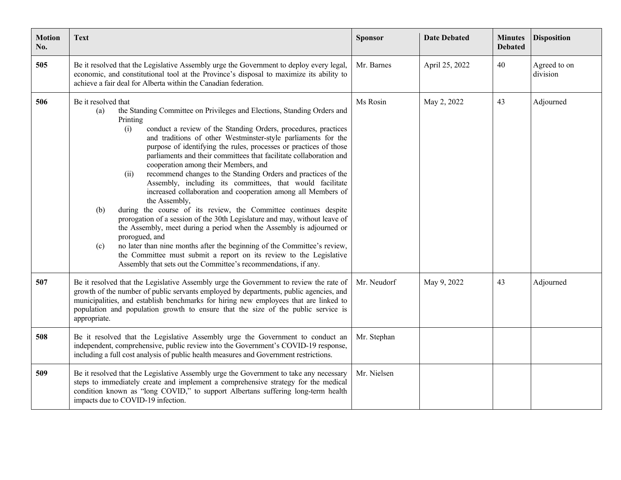| <b>Motion</b><br>No. | <b>Text</b>                                                                                                                                                                                                                                                                                                                                                                                                                                                                                                                                                                                                                                                                                                                                                                                                                                                                                                                                                                                                                                                                                                                                           | <b>Sponsor</b> | <b>Date Debated</b> | <b>Minutes</b><br><b>Debated</b> | <b>Disposition</b>       |
|----------------------|-------------------------------------------------------------------------------------------------------------------------------------------------------------------------------------------------------------------------------------------------------------------------------------------------------------------------------------------------------------------------------------------------------------------------------------------------------------------------------------------------------------------------------------------------------------------------------------------------------------------------------------------------------------------------------------------------------------------------------------------------------------------------------------------------------------------------------------------------------------------------------------------------------------------------------------------------------------------------------------------------------------------------------------------------------------------------------------------------------------------------------------------------------|----------------|---------------------|----------------------------------|--------------------------|
| 505                  | Be it resolved that the Legislative Assembly urge the Government to deploy every legal,<br>economic, and constitutional tool at the Province's disposal to maximize its ability to<br>achieve a fair deal for Alberta within the Canadian federation.                                                                                                                                                                                                                                                                                                                                                                                                                                                                                                                                                                                                                                                                                                                                                                                                                                                                                                 | Mr. Barnes     | April 25, 2022      | 40                               | Agreed to on<br>division |
| 506                  | Be it resolved that<br>the Standing Committee on Privileges and Elections, Standing Orders and<br>(a)<br>Printing<br>conduct a review of the Standing Orders, procedures, practices<br>(i)<br>and traditions of other Westminster-style parliaments for the<br>purpose of identifying the rules, processes or practices of those<br>parliaments and their committees that facilitate collaboration and<br>cooperation among their Members, and<br>recommend changes to the Standing Orders and practices of the<br>(ii)<br>Assembly, including its committees, that would facilitate<br>increased collaboration and cooperation among all Members of<br>the Assembly,<br>during the course of its review, the Committee continues despite<br>(b)<br>prorogation of a session of the 30th Legislature and may, without leave of<br>the Assembly, meet during a period when the Assembly is adjourned or<br>prorogued, and<br>no later than nine months after the beginning of the Committee's review,<br>(c)<br>the Committee must submit a report on its review to the Legislative<br>Assembly that sets out the Committee's recommendations, if any. | Ms Rosin       | May 2, 2022         | 43                               | Adjourned                |
| 507                  | Be it resolved that the Legislative Assembly urge the Government to review the rate of<br>growth of the number of public servants employed by departments, public agencies, and<br>municipalities, and establish benchmarks for hiring new employees that are linked to<br>population and population growth to ensure that the size of the public service is<br>appropriate.                                                                                                                                                                                                                                                                                                                                                                                                                                                                                                                                                                                                                                                                                                                                                                          | Mr. Neudorf    | May 9, 2022         | 43                               | Adjourned                |
| 508                  | Be it resolved that the Legislative Assembly urge the Government to conduct an<br>independent, comprehensive, public review into the Government's COVID-19 response,<br>including a full cost analysis of public health measures and Government restrictions.                                                                                                                                                                                                                                                                                                                                                                                                                                                                                                                                                                                                                                                                                                                                                                                                                                                                                         | Mr. Stephan    |                     |                                  |                          |
| 509                  | Be it resolved that the Legislative Assembly urge the Government to take any necessary<br>steps to immediately create and implement a comprehensive strategy for the medical<br>condition known as "long COVID," to support Albertans suffering long-term health<br>impacts due to COVID-19 infection.                                                                                                                                                                                                                                                                                                                                                                                                                                                                                                                                                                                                                                                                                                                                                                                                                                                | Mr. Nielsen    |                     |                                  |                          |